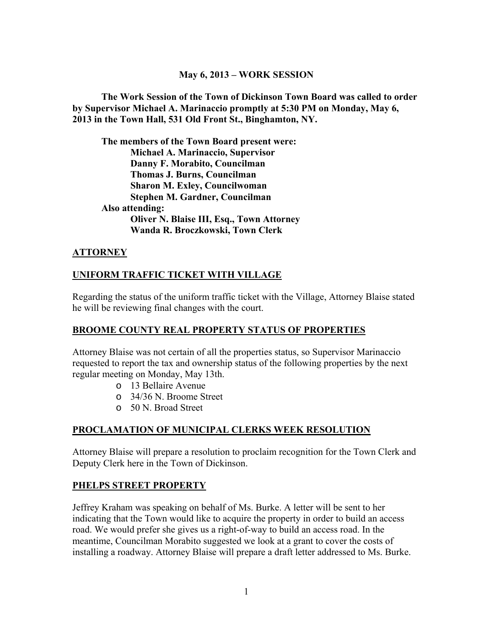#### **May 6, 2013 – WORK SESSION**

**The Work Session of the Town of Dickinson Town Board was called to order by Supervisor Michael A. Marinaccio promptly at 5:30 PM on Monday, May 6, 2013 in the Town Hall, 531 Old Front St., Binghamton, NY.** 

**The members of the Town Board present were: Michael A. Marinaccio, Supervisor Danny F. Morabito, Councilman Thomas J. Burns, Councilman Sharon M. Exley, Councilwoman Stephen M. Gardner, Councilman Also attending: Oliver N. Blaise III, Esq., Town Attorney Wanda R. Broczkowski, Town Clerk** 

#### **ATTORNEY**

### **UNIFORM TRAFFIC TICKET WITH VILLAGE**

Regarding the status of the uniform traffic ticket with the Village, Attorney Blaise stated he will be reviewing final changes with the court.

#### **BROOME COUNTY REAL PROPERTY STATUS OF PROPERTIES**

Attorney Blaise was not certain of all the properties status, so Supervisor Marinaccio requested to report the tax and ownership status of the following properties by the next regular meeting on Monday, May 13th.

- o 13 Bellaire Avenue
- o 34/36 N. Broome Street
- o 50 N. Broad Street

#### **PROCLAMATION OF MUNICIPAL CLERKS WEEK RESOLUTION**

Attorney Blaise will prepare a resolution to proclaim recognition for the Town Clerk and Deputy Clerk here in the Town of Dickinson.

#### **PHELPS STREET PROPERTY**

Jeffrey Kraham was speaking on behalf of Ms. Burke. A letter will be sent to her indicating that the Town would like to acquire the property in order to build an access road. We would prefer she gives us a right-of-way to build an access road. In the meantime, Councilman Morabito suggested we look at a grant to cover the costs of installing a roadway. Attorney Blaise will prepare a draft letter addressed to Ms. Burke.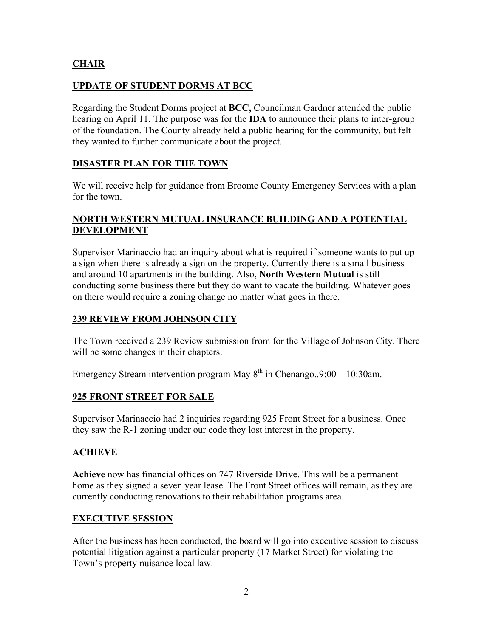### **CHAIR**

### **UPDATE OF STUDENT DORMS AT BCC**

Regarding the Student Dorms project at **BCC,** Councilman Gardner attended the public hearing on April 11. The purpose was for the **IDA** to announce their plans to inter-group of the foundation. The County already held a public hearing for the community, but felt they wanted to further communicate about the project.

#### **DISASTER PLAN FOR THE TOWN**

We will receive help for guidance from Broome County Emergency Services with a plan for the town.

#### **NORTH WESTERN MUTUAL INSURANCE BUILDING AND A POTENTIAL DEVELOPMENT**

Supervisor Marinaccio had an inquiry about what is required if someone wants to put up a sign when there is already a sign on the property. Currently there is a small business and around 10 apartments in the building. Also, **North Western Mutual** is still conducting some business there but they do want to vacate the building. Whatever goes on there would require a zoning change no matter what goes in there.

#### **239 REVIEW FROM JOHNSON CITY**

The Town received a 239 Review submission from for the Village of Johnson City. There will be some changes in their chapters.

Emergency Stream intervention program May  $8^{th}$  in Chenango...9:00 – 10:30am.

#### **925 FRONT STREET FOR SALE**

Supervisor Marinaccio had 2 inquiries regarding 925 Front Street for a business. Once they saw the R-1 zoning under our code they lost interest in the property.

#### **ACHIEVE**

**Achieve** now has financial offices on 747 Riverside Drive. This will be a permanent home as they signed a seven year lease. The Front Street offices will remain, as they are currently conducting renovations to their rehabilitation programs area.

#### **EXECUTIVE SESSION**

After the business has been conducted, the board will go into executive session to discuss potential litigation against a particular property (17 Market Street) for violating the Town's property nuisance local law.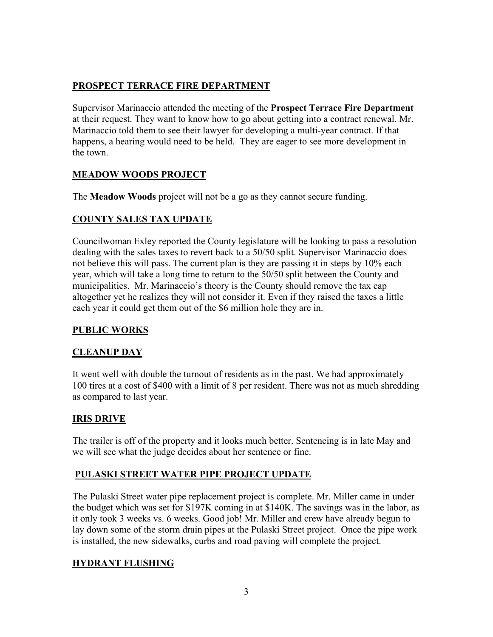# **PROSPECT TERRACE FIRE DEPARTMENT**

Supervisor Marinaccio attended the meeting of the **Prospect Terrace Fire Department** at their request. They want to know how to go about getting into a contract renewal. Mr. Marinaccio told them to see their lawyer for developing a multi-year contract. If that happens, a hearing would need to be held. They are eager to see more development in the town.

## **MEADOW WOODS PROJECT**

The **Meadow Woods** project will not be a go as they cannot secure funding.

# **COUNTY SALES TAX UPDATE**

Councilwoman Exley reported the County legislature will be looking to pass a resolution dealing with the sales taxes to revert back to a 50/50 split. Supervisor Marinaccio does not believe this will pass. The current plan is they are passing it in steps by 10% each year, which will take a long time to return to the 50/50 split between the County and municipalities. Mr. Marinaccio's theory is the County should remove the tax cap altogether yet he realizes they will not consider it. Even if they raised the taxes a little each year it could get them out of the \$6 million hole they are in.

## **PUBLIC WORKS**

## **CLEANUP DAY**

It went well with double the turnout of residents as in the past. We had approximately 100 tires at a cost of \$400 with a limit of 8 per resident. There was not as much shredding as compared to last year.

## **IRIS DRIVE**

The trailer is off of the property and it looks much better. Sentencing is in late May and we will see what the judge decides about her sentence or fine.

## **PULASKI STREET WATER PIPE PROJECT UPDATE**

The Pulaski Street water pipe replacement project is complete. Mr. Miller came in under the budget which was set for \$197K coming in at \$140K. The savings was in the labor, as it only took 3 weeks vs. 6 weeks. Good job! Mr. Miller and crew have already begun to lay down some of the storm drain pipes at the Pulaski Street project. Once the pipe work is installed, the new sidewalks, curbs and road paving will complete the project.

## **HYDRANT FLUSHING**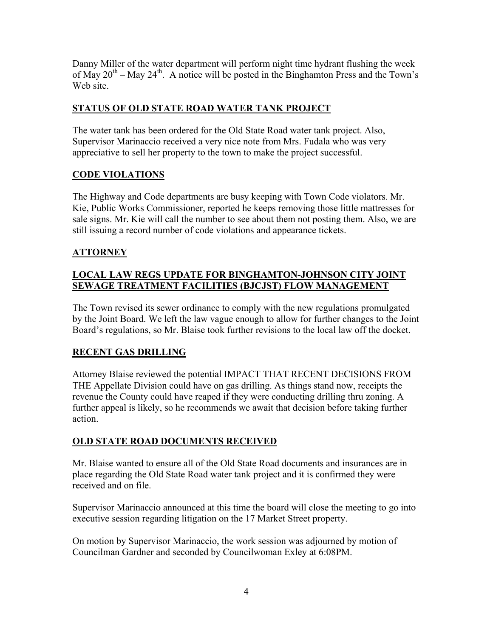Danny Miller of the water department will perform night time hydrant flushing the week of May  $20^{th}$  – May  $24^{th}$ . A notice will be posted in the Binghamton Press and the Town's Web site.

## **STATUS OF OLD STATE ROAD WATER TANK PROJECT**

The water tank has been ordered for the Old State Road water tank project. Also, Supervisor Marinaccio received a very nice note from Mrs. Fudala who was very appreciative to sell her property to the town to make the project successful.

## **CODE VIOLATIONS**

The Highway and Code departments are busy keeping with Town Code violators. Mr. Kie, Public Works Commissioner, reported he keeps removing those little mattresses for sale signs. Mr. Kie will call the number to see about them not posting them. Also, we are still issuing a record number of code violations and appearance tickets.

# **ATTORNEY**

### **LOCAL LAW REGS UPDATE FOR BINGHAMTON-JOHNSON CITY JOINT SEWAGE TREATMENT FACILITIES (BJCJST) FLOW MANAGEMENT**

The Town revised its sewer ordinance to comply with the new regulations promulgated by the Joint Board. We left the law vague enough to allow for further changes to the Joint Board's regulations, so Mr. Blaise took further revisions to the local law off the docket.

## **RECENT GAS DRILLING**

Attorney Blaise reviewed the potential IMPACT THAT RECENT DECISIONS FROM THE Appellate Division could have on gas drilling. As things stand now, receipts the revenue the County could have reaped if they were conducting drilling thru zoning. A further appeal is likely, so he recommends we await that decision before taking further action.

# **OLD STATE ROAD DOCUMENTS RECEIVED**

Mr. Blaise wanted to ensure all of the Old State Road documents and insurances are in place regarding the Old State Road water tank project and it is confirmed they were received and on file.

Supervisor Marinaccio announced at this time the board will close the meeting to go into executive session regarding litigation on the 17 Market Street property.

On motion by Supervisor Marinaccio, the work session was adjourned by motion of Councilman Gardner and seconded by Councilwoman Exley at 6:08PM.